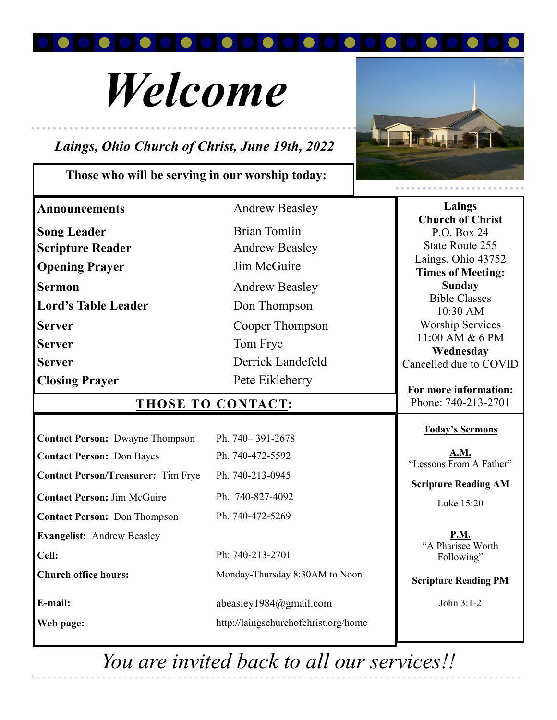

# *Welcome*

# *Laings, Ohio Church of Christ, June 19th, 2022*

## **Those who will be serving in our worship today:**



| <b>Announcements</b>                      | <b>Andrew Beasley</b>                | Laings                                         |
|-------------------------------------------|--------------------------------------|------------------------------------------------|
| <b>Song Leader</b>                        | <b>Brian Tomlin</b>                  | <b>Church of Christ</b><br>P.O. Box 24         |
| <b>Scripture Reader</b>                   | <b>Andrew Beasley</b>                | <b>State Route 255</b>                         |
| <b>Opening Prayer</b>                     | Jim McGuire                          | Laings, Ohio 43752<br><b>Times of Meeting:</b> |
| <b>Sermon</b>                             | <b>Andrew Beasley</b>                | <b>Sunday</b>                                  |
| <b>Lord's Table Leader</b>                | Don Thompson                         | <b>Bible Classes</b><br>10:30 AM               |
| <b>Server</b>                             | Cooper Thompson                      | <b>Worship Services</b>                        |
| <b>Server</b>                             | Tom Frye                             | 11:00 AM & 6 PM                                |
| <b>Server</b>                             | Derrick Landefeld                    | Wednesday<br>Cancelled due to COVID            |
| <b>Closing Prayer</b>                     | Pete Eikleberry                      |                                                |
| <b>THOSE TO CONTACT:</b>                  |                                      | For more information:<br>Phone: 740-213-2701   |
|                                           |                                      | <b>Today's Sermons</b>                         |
| <b>Contact Person: Dwayne Thompson</b>    | Ph. 740-391-2678                     |                                                |
|                                           |                                      |                                                |
| <b>Contact Person: Don Bayes</b>          | Ph. 740-472-5592                     | A.M.<br>"Lessons From A Father"                |
| <b>Contact Person/Treasurer: Tim Frye</b> | Ph. 740-213-0945                     |                                                |
| <b>Contact Person: Jim McGuire</b>        | Ph. 740-827-4092                     | <b>Scripture Reading AM</b><br>Luke 15:20      |
| <b>Contact Person: Don Thompson</b>       | Ph. 740-472-5269                     |                                                |
| <b>Evangelist:</b> Andrew Beasley         |                                      | P.M.                                           |
| Cell:                                     | Ph: 740-213-2701                     | "A Pharisee Worth<br>Following"                |
| <b>Church office hours:</b>               | Monday-Thursday 8:30AM to Noon       | <b>Scripture Reading PM</b>                    |
| E-mail:                                   | abeasley1984@gmail.com               | John 3:1-2                                     |
| Web page:                                 | http://laingschurchofchrist.org/home |                                                |

*You are invited back to all our services!!*